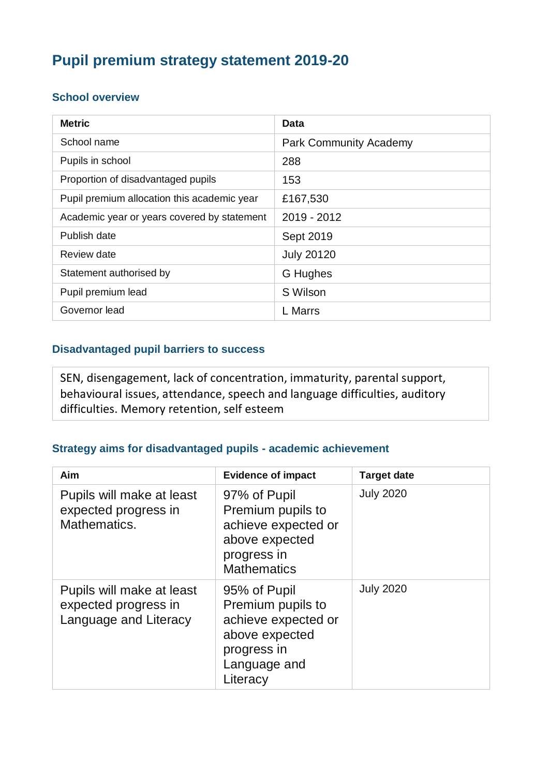# **Pupil premium strategy statement 2019-20**

#### **School overview**

| <b>Metric</b>                               | Data                          |
|---------------------------------------------|-------------------------------|
| School name                                 | <b>Park Community Academy</b> |
| Pupils in school                            | 288                           |
| Proportion of disadvantaged pupils          | 153                           |
| Pupil premium allocation this academic year | £167,530                      |
| Academic year or years covered by statement | 2019 - 2012                   |
| Publish date                                | Sept 2019                     |
| Review date                                 | <b>July 20120</b>             |
| Statement authorised by                     | G Hughes                      |
| Pupil premium lead                          | S Wilson                      |
| Governor lead                               | <b>L</b> Marrs                |

### **Disadvantaged pupil barriers to success**

SEN, disengagement, lack of concentration, immaturity, parental support, behavioural issues, attendance, speech and language difficulties, auditory difficulties. Memory retention, self esteem

#### **Strategy aims for disadvantaged pupils - academic achievement**

| Aim                                                                        | <b>Evidence of impact</b>                                                                                             | <b>Target date</b> |
|----------------------------------------------------------------------------|-----------------------------------------------------------------------------------------------------------------------|--------------------|
| Pupils will make at least<br>expected progress in<br>Mathematics.          | 97% of Pupil<br>Premium pupils to<br>achieve expected or<br>above expected<br>progress in<br><b>Mathematics</b>       | <b>July 2020</b>   |
| Pupils will make at least<br>expected progress in<br>Language and Literacy | 95% of Pupil<br>Premium pupils to<br>achieve expected or<br>above expected<br>progress in<br>Language and<br>Literacy | <b>July 2020</b>   |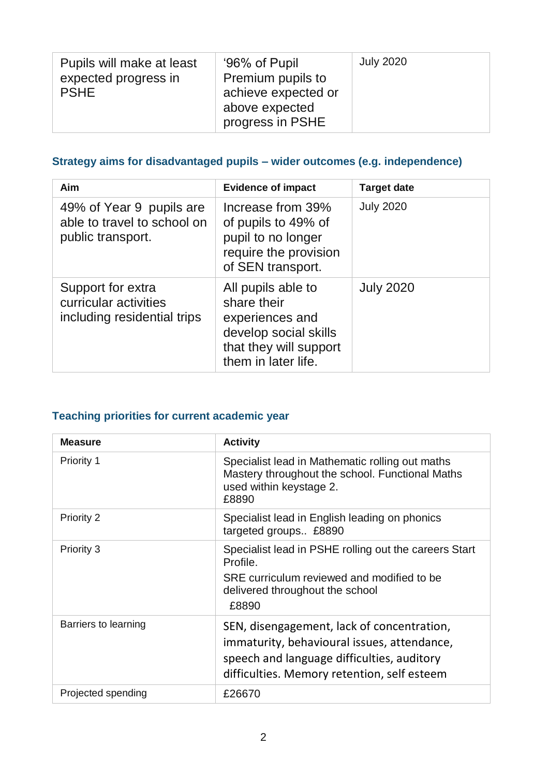| Pupils will make at least<br>expected progress in<br><b>PSHE</b> | '96% of Pupil<br>Premium pupils to<br>achieve expected or<br>above expected<br>progress in PSHE | <b>July 2020</b> |
|------------------------------------------------------------------|-------------------------------------------------------------------------------------------------|------------------|
|------------------------------------------------------------------|-------------------------------------------------------------------------------------------------|------------------|

## **Strategy aims for disadvantaged pupils – wider outcomes (e.g. independence)**

| Aim                                                                          | <b>Evidence of impact</b>                                                                                                      | <b>Target date</b> |
|------------------------------------------------------------------------------|--------------------------------------------------------------------------------------------------------------------------------|--------------------|
| 49% of Year 9 pupils are<br>able to travel to school on<br>public transport. | Increase from 39%<br>of pupils to 49% of<br>pupil to no longer<br>require the provision<br>of SEN transport.                   | <b>July 2020</b>   |
| Support for extra<br>curricular activities<br>including residential trips    | All pupils able to<br>share their<br>experiences and<br>develop social skills<br>that they will support<br>them in later life. | <b>July 2020</b>   |

### **Teaching priorities for current academic year**

| <b>Measure</b>       | <b>Activity</b>                                                                                                                                                                        |
|----------------------|----------------------------------------------------------------------------------------------------------------------------------------------------------------------------------------|
| Priority 1           | Specialist lead in Mathematic rolling out maths<br>Mastery throughout the school. Functional Maths<br>used within keystage 2.<br>£8890                                                 |
| <b>Priority 2</b>    | Specialist lead in English leading on phonics<br>targeted groups £8890                                                                                                                 |
| Priority 3           | Specialist lead in PSHE rolling out the careers Start<br>Profile.<br>SRE curriculum reviewed and modified to be<br>delivered throughout the school<br>£8890                            |
| Barriers to learning | SEN, disengagement, lack of concentration,<br>immaturity, behavioural issues, attendance,<br>speech and language difficulties, auditory<br>difficulties. Memory retention, self esteem |
| Projected spending   | £26670                                                                                                                                                                                 |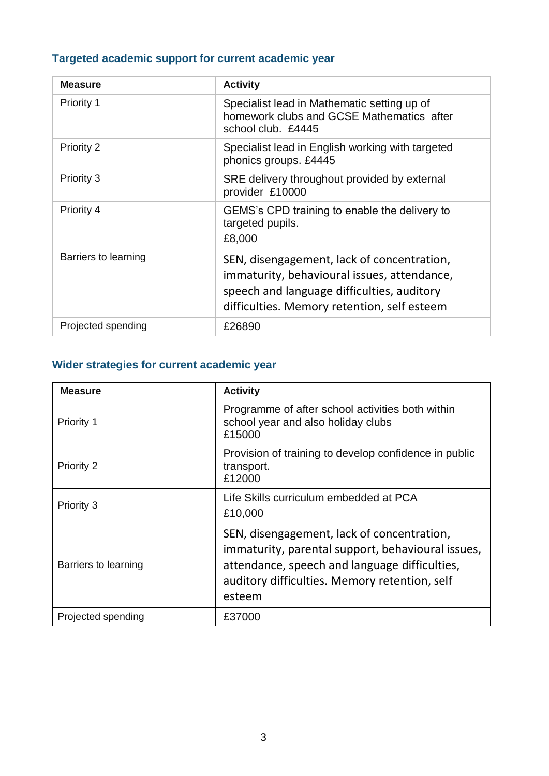## **Targeted academic support for current academic year**

| <b>Measure</b>       | <b>Activity</b>                                                                                                                                                                        |
|----------------------|----------------------------------------------------------------------------------------------------------------------------------------------------------------------------------------|
| <b>Priority 1</b>    | Specialist lead in Mathematic setting up of<br>homework clubs and GCSE Mathematics after<br>school club. £4445                                                                         |
| Priority 2           | Specialist lead in English working with targeted<br>phonics groups. £4445                                                                                                              |
| Priority 3           | SRE delivery throughout provided by external<br>provider £10000                                                                                                                        |
| Priority 4           | GEMS's CPD training to enable the delivery to<br>targeted pupils.<br>£8,000                                                                                                            |
| Barriers to learning | SEN, disengagement, lack of concentration,<br>immaturity, behavioural issues, attendance,<br>speech and language difficulties, auditory<br>difficulties. Memory retention, self esteem |
| Projected spending   | £26890                                                                                                                                                                                 |

### **Wider strategies for current academic year**

| <b>Measure</b>       | <b>Activity</b>                                                                                                                                                                                             |
|----------------------|-------------------------------------------------------------------------------------------------------------------------------------------------------------------------------------------------------------|
| Priority 1           | Programme of after school activities both within<br>school year and also holiday clubs<br>£15000                                                                                                            |
| <b>Priority 2</b>    | Provision of training to develop confidence in public<br>transport.<br>£12000                                                                                                                               |
| Priority 3           | Life Skills curriculum embedded at PCA<br>£10,000                                                                                                                                                           |
| Barriers to learning | SEN, disengagement, lack of concentration,<br>immaturity, parental support, behavioural issues,<br>attendance, speech and language difficulties,<br>auditory difficulties. Memory retention, self<br>esteem |
| Projected spending   | £37000                                                                                                                                                                                                      |